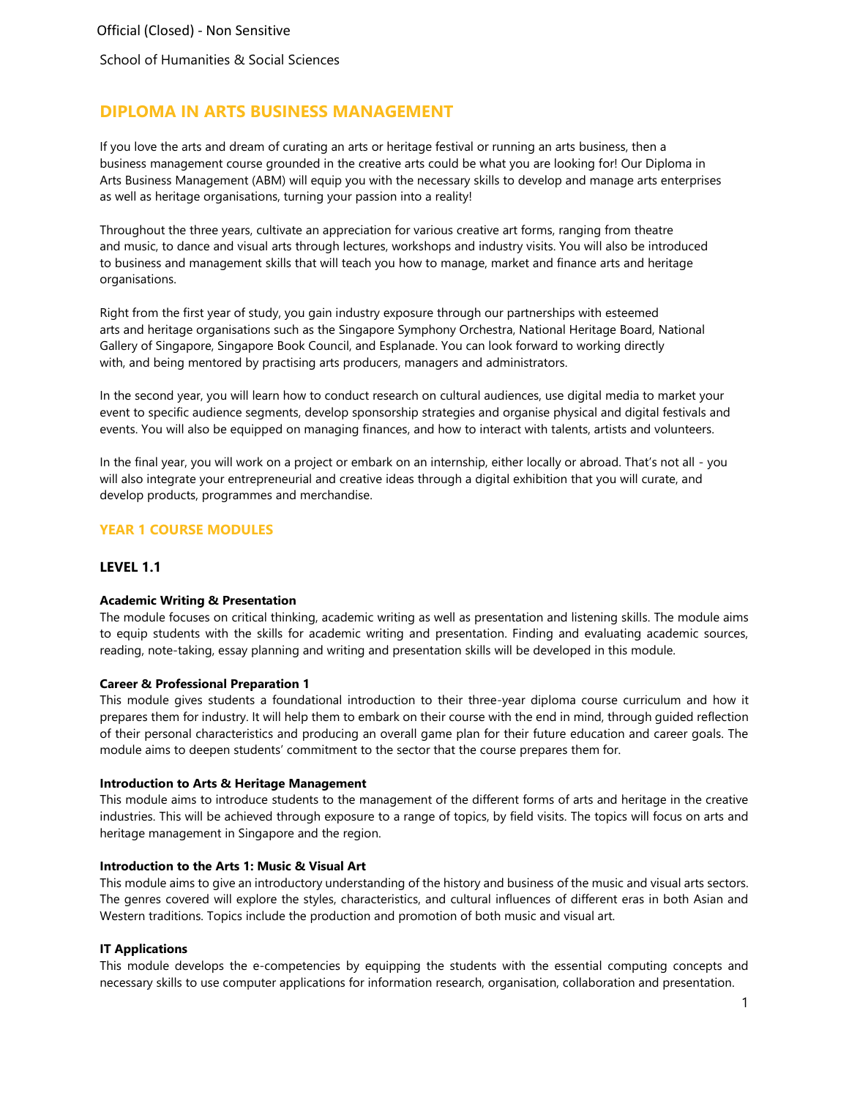School of Humanities & Social Sciences

# **DIPLOMA IN ARTS BUSINESS MANAGEMENT**

 If you love the arts and dream of curating an arts or heritage festival or running an arts business, then a business management course grounded in the creative arts could be what you are looking for! Our Diploma in Arts Business Management (ABM) will equip you with the necessary skills to develop and manage arts enterprises as well as heritage organisations, turning your passion into a reality!

Throughout the three years, cultivate an appreciation for various creative art forms, ranging from theatre and music, to dance and visual arts through lectures, workshops and industry visits. You will also be introduced to business and management skills that will teach you how to manage, market and finance arts and heritage organisations.

Right from the first year of study, you gain industry exposure through our partnerships with esteemed arts and heritage organisations such as the Singapore Symphony Orchestra, National Heritage Board, National Gallery of Singapore, Singapore Book Council, and Esplanade. You can look forward to working directly with, and being mentored by practising arts producers, managers and administrators.

In the second year, you will learn how to conduct research on cultural audiences, use digital media to market your event to specific audience segments, develop sponsorship strategies and organise physical and digital festivals and events. You will also be equipped on managing finances, and how to interact with talents, artists and volunteers.

In the final year, you will work on a project or embark on an internship, either locally or abroad. That's not all - you will also integrate your entrepreneurial and creative ideas through a digital exhibition that you will curate, and develop products, programmes and merchandise.

## **YEAR 1 COURSE MODULES**

## **LEVEL 1.1**

#### **Academic Writing & Presentation**

The module focuses on critical thinking, academic writing as well as presentation and listening skills. The module aims to equip students with the skills for academic writing and presentation. Finding and evaluating academic sources, reading, note-taking, essay planning and writing and presentation skills will be developed in this module.

#### **Career & Professional Preparation 1**

This module gives students a foundational introduction to their three-year diploma course curriculum and how it prepares them for industry. It will help them to embark on their course with the end in mind, through guided reflection of their personal characteristics and producing an overall game plan for their future education and career goals. The module aims to deepen students' commitment to the sector that the course prepares them for.

#### **Introduction to Arts & Heritage Management**

This module aims to introduce students to the management of the different forms of arts and heritage in the creative industries. This will be achieved through exposure to a range of topics, by field visits. The topics will focus on arts and heritage management in Singapore and the region.

#### **Introduction to the Arts 1: Music & Visual Art**

This module aims to give an introductory understanding of the history and business of the music and visual arts sectors. The genres covered will explore the styles, characteristics, and cultural influences of different eras in both Asian and Western traditions. Topics include the production and promotion of both music and visual art.

#### **IT Applications**

This module develops the e-competencies by equipping the students with the essential computing concepts and necessary skills to use computer applications for information research, organisation, collaboration and presentation.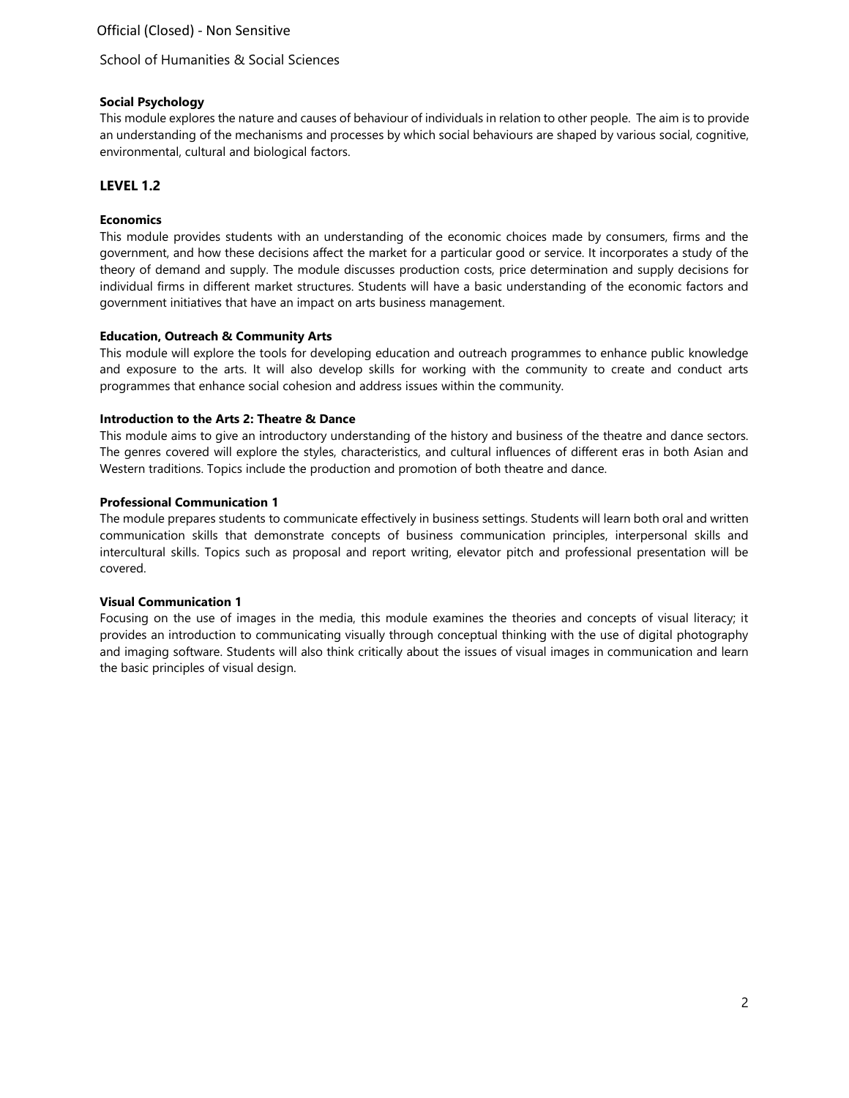School of Humanities & Social Sciences

# **Social Psychology**

This module explores the nature and causes of behaviour of individuals in relation to other people. The aim is to provide an understanding of the mechanisms and processes by which social behaviours are shaped by various social, cognitive, environmental, cultural and biological factors.

# **LEVEL 1.2**

# **Economics**

This module provides students with an understanding of the economic choices made by consumers, firms and the government, and how these decisions affect the market for a particular good or service. It incorporates a study of the theory of demand and supply. The module discusses production costs, price determination and supply decisions for individual firms in different market structures. Students will have a basic understanding of the economic factors and government initiatives that have an impact on arts business management.

# **Education, Outreach & Community Arts**

This module will explore the tools for developing education and outreach programmes to enhance public knowledge and exposure to the arts. It will also develop skills for working with the community to create and conduct arts programmes that enhance social cohesion and address issues within the community.

## **Introduction to the Arts 2: Theatre & Dance**

This module aims to give an introductory understanding of the history and business of the theatre and dance sectors. The genres covered will explore the styles, characteristics, and cultural influences of different eras in both Asian and Western traditions. Topics include the production and promotion of both theatre and dance.

## **Professional Communication 1**

The module prepares students to communicate effectively in business settings. Students will learn both oral and written communication skills that demonstrate concepts of business communication principles, interpersonal skills and intercultural skills. Topics such as proposal and report writing, elevator pitch and professional presentation will be covered.

## **Visual Communication 1**

Focusing on the use of images in the media, this module examines the theories and concepts of visual literacy; it provides an introduction to communicating visually through conceptual thinking with the use of digital photography and imaging software. Students will also think critically about the issues of visual images in communication and learn the basic principles of visual design.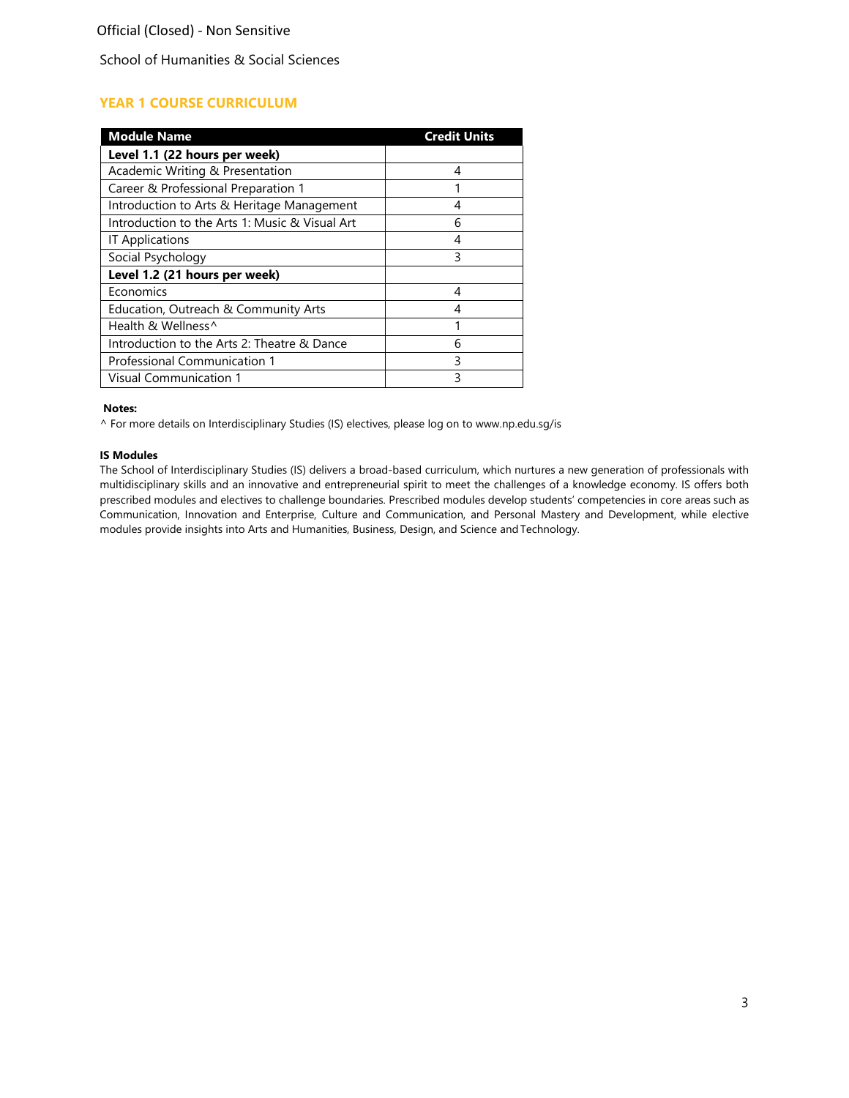School of Humanities & Social Sciences

# **YEAR 1 COURSE CURRICULUM**

| <b>Module Name</b>                             | <b>Credit Units</b> |
|------------------------------------------------|---------------------|
| Level 1.1 (22 hours per week)                  |                     |
| Academic Writing & Presentation                | 4                   |
| Career & Professional Preparation 1            |                     |
| Introduction to Arts & Heritage Management     |                     |
| Introduction to the Arts 1: Music & Visual Art | 6                   |
| <b>IT Applications</b>                         | 4                   |
| Social Psychology                              | ξ                   |
| Level 1.2 (21 hours per week)                  |                     |
| Economics                                      | 4                   |
| Education, Outreach & Community Arts           | 4                   |
| Health & Wellness <sup>^</sup>                 |                     |
| Introduction to the Arts 2: Theatre & Dance    | 6                   |
| Professional Communication 1                   | ੨                   |
| <b>Visual Communication 1</b>                  | ς                   |

#### **Notes:**

^ For more details on Interdisciplinary Studies (IS) electives, please log on to [www.np.edu.sg/is](http://www.np.edu.sg/is)

#### **IS Modules**

The School of Interdisciplinary Studies (IS) delivers a broad-based curriculum, which nurtures a new generation of professionals with multidisciplinary skills and an innovative and entrepreneurial spirit to meet the challenges of a knowledge economy. IS offers both prescribed modules and electives to challenge boundaries. Prescribed modules develop students' competencies in core areas such as Communication, Innovation and Enterprise, Culture and Communication, and Personal Mastery and Development, while elective modules provide insights into Arts and Humanities, Business, Design, and Science and Technology.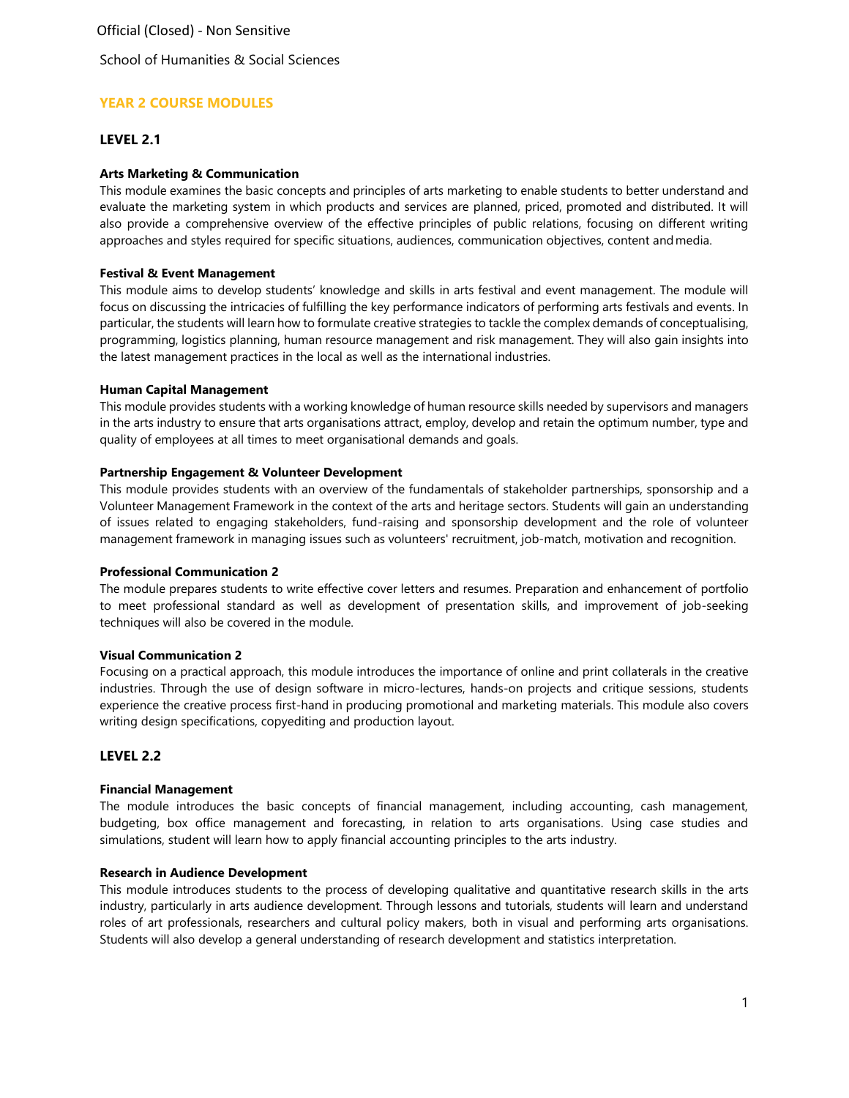School of Humanities & Social Sciences

# **YEAR 2 COURSE MODULES**

## **LEVEL 2.1**

## **Arts Marketing & Communication**

This module examines the basic concepts and principles of arts marketing to enable students to better understand and evaluate the marketing system in which products and services are planned, priced, promoted and distributed. It will also provide a comprehensive overview of the effective principles of public relations, focusing on different writing approaches and styles required for specific situations, audiences, communication objectives, content andmedia.

## **Festival & Event Management**

This module aims to develop students' knowledge and skills in arts festival and event management. The module will focus on discussing the intricacies of fulfilling the key performance indicators of performing arts festivals and events. In particular, the students will learn how to formulate creative strategies to tackle the complex demands of conceptualising, programming, logistics planning, human resource management and risk management. They will also gain insights into the latest management practices in the local as well as the international industries.

### **Human Capital Management**

This module provides students with a working knowledge of human resource skills needed by supervisors and managers in the arts industry to ensure that arts organisations attract, employ, develop and retain the optimum number, type and quality of employees at all times to meet organisational demands and goals.

## **Partnership Engagement & Volunteer Development**

This module provides students with an overview of the fundamentals of stakeholder partnerships, sponsorship and a Volunteer Management Framework in the context of the arts and heritage sectors. Students will gain an understanding of issues related to engaging stakeholders, fund-raising and sponsorship development and the role of volunteer management framework in managing issues such as volunteers' recruitment, job-match, motivation and recognition.

### **Professional Communication 2**

The module prepares students to write effective cover letters and resumes. Preparation and enhancement of portfolio to meet professional standard as well as development of presentation skills, and improvement of job-seeking techniques will also be covered in the module.

### **Visual Communication 2**

Focusing on a practical approach, this module introduces the importance of online and print collaterals in the creative industries. Through the use of design software in micro-lectures, hands-on projects and critique sessions, students experience the creative process first-hand in producing promotional and marketing materials. This module also covers writing design specifications, copyediting and production layout.

# **LEVEL 2.2**

### **Financial Management**

The module introduces the basic concepts of financial management, including accounting, cash management, budgeting, box office management and forecasting, in relation to arts organisations. Using case studies and simulations, student will learn how to apply financial accounting principles to the arts industry.

## **Research in Audience Development**

This module introduces students to the process of developing qualitative and quantitative research skills in the arts industry, particularly in arts audience development. Through lessons and tutorials, students will learn and understand roles of art professionals, researchers and cultural policy makers, both in visual and performing arts organisations. Students will also develop a general understanding of research development and statistics interpretation.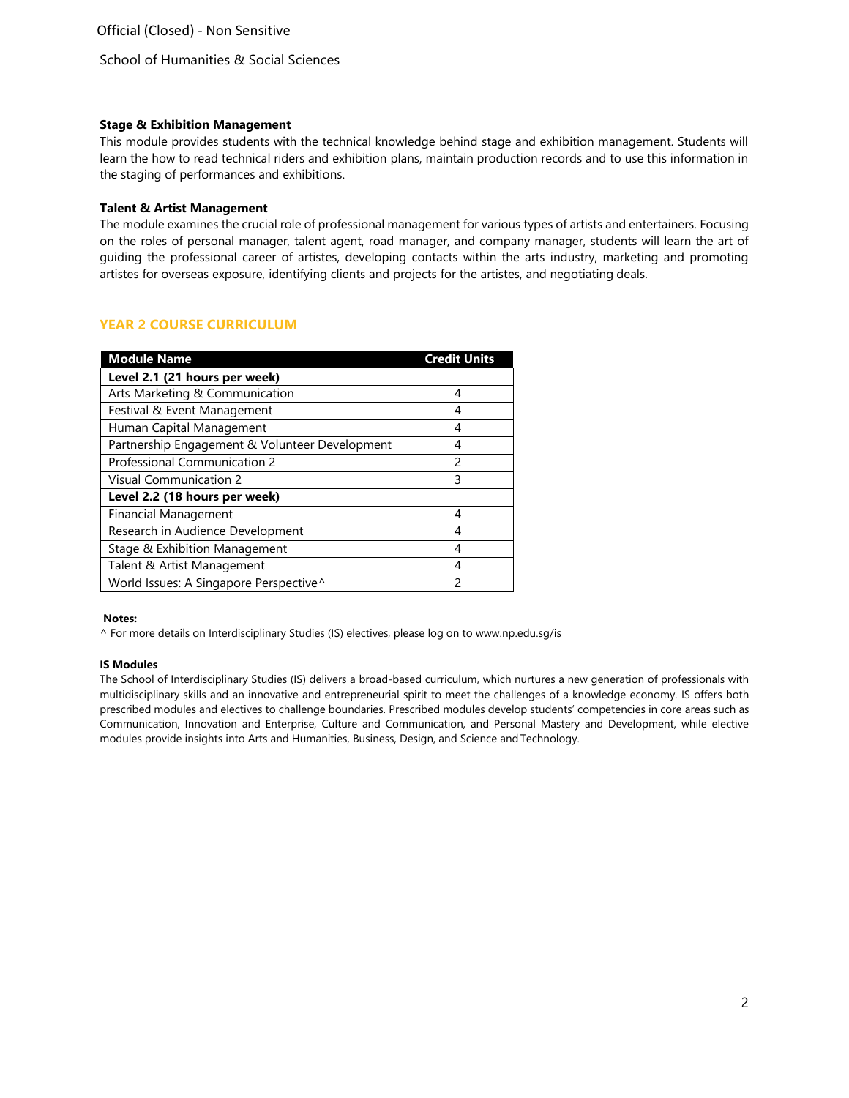School of Humanities & Social Sciences

## **Stage & Exhibition Management**

This module provides students with the technical knowledge behind stage and exhibition management. Students will learn the how to read technical riders and exhibition plans, maintain production records and to use this information in the staging of performances and exhibitions.

## **Talent & Artist Management**

The module examines the crucial role of professional management for various types of artists and entertainers. Focusing on the roles of personal manager, talent agent, road manager, and company manager, students will learn the art of guiding the professional career of artistes, developing contacts within the arts industry, marketing and promoting artistes for overseas exposure, identifying clients and projects for the artistes, and negotiating deals.

# **YEAR 2 COURSE CURRICULUM**

| <b>Module Name</b>                             | <b>Credit Units</b> |
|------------------------------------------------|---------------------|
| Level 2.1 (21 hours per week)                  |                     |
| Arts Marketing & Communication                 | 4                   |
| Festival & Event Management                    |                     |
| Human Capital Management                       | 4                   |
| Partnership Engagement & Volunteer Development |                     |
| Professional Communication 2                   | $\mathcal{P}$       |
| <b>Visual Communication 2</b>                  | ξ                   |
| Level 2.2 (18 hours per week)                  |                     |
| <b>Financial Management</b>                    | 4                   |
| Research in Audience Development               | 4                   |
| Stage & Exhibition Management                  | 4                   |
| Talent & Artist Management                     | 4                   |
| World Issues: A Singapore Perspective^         | $\mathfrak{D}$      |

### **Notes:**

^ For more details on Interdisciplinary Studies (IS) electives, please log on to [www.np.edu.sg/is](http://www.np.edu.sg/is)

### **IS Modules**

The School of Interdisciplinary Studies (IS) delivers a broad-based curriculum, which nurtures a new generation of professionals with multidisciplinary skills and an innovative and entrepreneurial spirit to meet the challenges of a knowledge economy. IS offers both prescribed modules and electives to challenge boundaries. Prescribed modules develop students' competencies in core areas such as Communication, Innovation and Enterprise, Culture and Communication, and Personal Mastery and Development, while elective modules provide insights into Arts and Humanities, Business, Design, and Science andTechnology.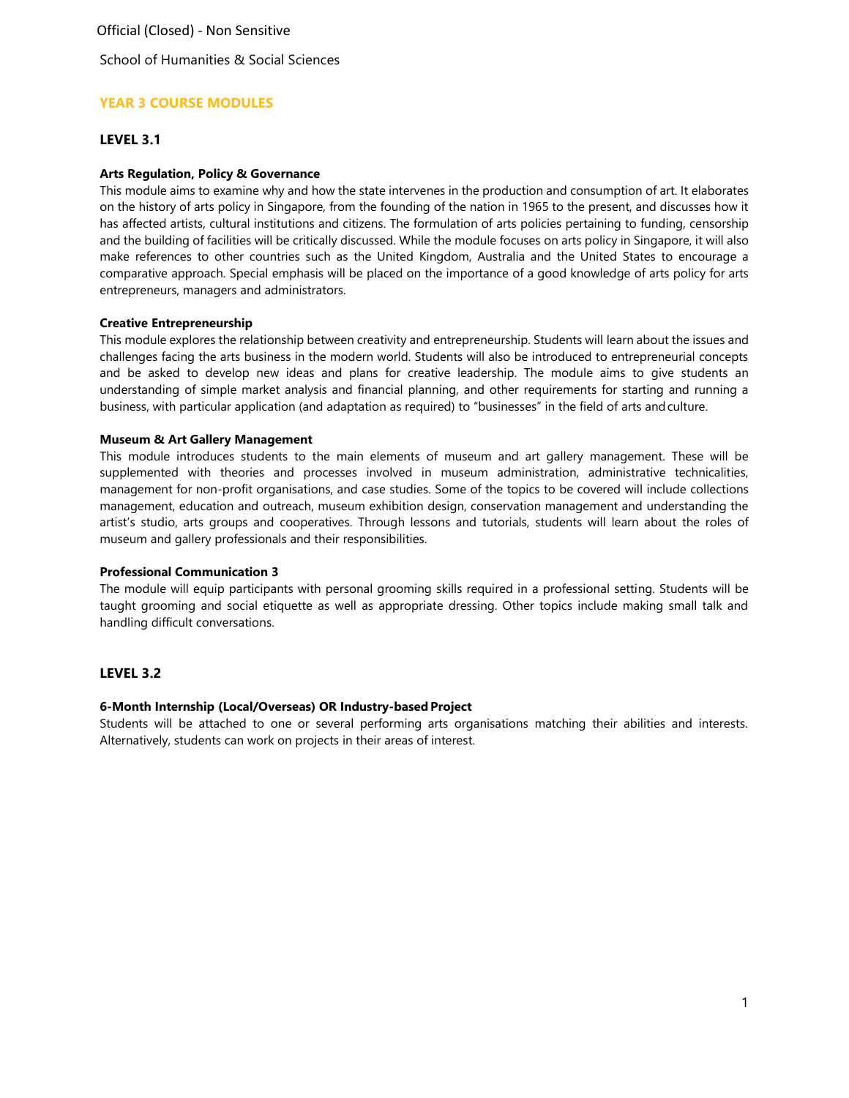School of Humanities & Social Sciences

# **YEAR 3 COURSE MODULES**

## **LEVEL 3.1**

### **Arts Regulation, Policy & Governance**

This module aims to examine why and how the state intervenes in the production and consumption of art. It elaborates on the history of arts policy in Singapore, from the founding of the nation in 1965 to the present, and discusses how it has affected artists, cultural institutions and citizens. The formulation of arts policies pertaining to funding, censorship and the building of facilities will be critically discussed. While the module focuses on arts policy in Singapore, it will also make references to other countries such as the United Kingdom, Australia and the United States to encourage a comparative approach. Special emphasis will be placed on the importance of a good knowledge of arts policy for arts entrepreneurs, managers and administrators.

#### **Creative Entrepreneurship**

This module explores the relationship between creativity and entrepreneurship. Students will learn about the issues and challenges facing the arts business in the modern world. Students will also be introduced to entrepreneurial concepts and be asked to develop new ideas and plans for creative leadership. The module aims to give students an understanding of simple market analysis and financial planning, and other requirements for starting and running a business, with particular application (and adaptation as required) to "businesses" in the field of arts andculture.

#### **Museum & Art Gallery Management**

This module introduces students to the main elements of museum and art gallery management. These will be supplemented with theories and processes involved in museum administration, administrative technicalities, management for non-profit organisations, and case studies. Some of the topics to be covered will include collections management, education and outreach, museum exhibition design, conservation management and understanding the artist's studio, arts groups and cooperatives. Through lessons and tutorials, students will learn about the roles of museum and gallery professionals and their responsibilities.

## **Professional Communication 3**

The module will equip participants with personal grooming skills required in a professional setting. Students will be taught grooming and social etiquette as well as appropriate dressing. Other topics include making small talk and handling difficult conversations.

### **LEVEL 3.2**

### **6-Month Internship (Local/Overseas) OR Industry-based Project**

Students will be attached to one or several performing arts organisations matching their abilities and interests. Alternatively, students can work on projects in their areas of interest.